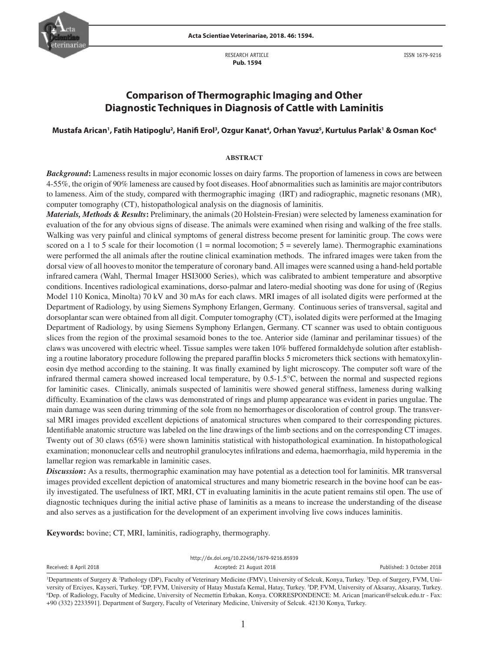



RESEARCH ARTICLE  **Pub. 1594**

ISSN 1679-9216

# **Comparison of Thermographic Imaging and Other Diagnostic Techniques in Diagnosis of Cattle with Laminitis**

# **Mustafa Arican1 , Fatih Hatipoglu2 , Hanifi Erol3 , Ozgur Kanat4 , Orhan Yavuz5 , Kurtulus Parlak1 & Osman Koc6**

## **ABSTRACT**

*Background***:** Lameness results in major economic losses on dairy farms. The proportion of lameness in cows are between 4-55%, the origin of 90% lameness are caused by foot diseases. Hoof abnormalities such as laminitis are major contributors to lameness. Aim of the study, compared with thermographic imaging (IRT) and radiographic, magnetic resonans (MR), computer tomography (CT), histopathological analysis on the diagnosis of laminitis.

*Materials, Methods & Results***:** Preliminary, the animals (20 Holstein-Fresian) were selected by lameness examination for evaluation of the for any obvious signs of disease. The animals were examined when rising and walking of the free stalls. Walking was very painful and clinical symptoms of general distress become present for laminitic group. The cows were scored on a 1 to 5 scale for their locomotion  $(1 = normal$  locomotion;  $5 =$  severely lame). Thermographic examinations were performed the all animals after the routine clinical examination methods. The infrared images were taken from the dorsal view of all hoovesto monitor the temperature of coronary band. All images were scanned using a hand-held portable infrared camera (Wahl, Thermal Imager HSI3000 Series), which was calibrated to ambient temperature and absorptive conditions. Incentives radiological examinations, dorso-palmar and latero-medial shooting was done for using of (Regius Model 110 Konica, Minolta) 70 kV and 30 mAs for each claws. MRI images of all isolated digits were performed at the Department of Radiology, by using Siemens Symphony Erlangen, Germany. Continuous series of transversal, sagital and dorsoplantar scan were obtained from all digit. Computer tomography (CT), isolated digits were performed at the Imaging Department of Radiology, by using Siemens Symphony Erlangen, Germany. CT scanner was used to obtain contiguous slices from the region of the proximal sesamoid bones to the toe. Anterior side (laminar and perilaminar tissues) of the claws was uncovered with electric wheel. Tissue samples were taken 10% buffered formaldehyde solution after establishing a routine laboratory procedure following the prepared paraffin blocks 5 micrometers thick sections with hematoxylineosin dye method according to the staining. It was finally examined by light microscopy. The computer soft ware of the infrared thermal camera showed increased local temperature, by 0.5-1.5°C, between the normal and suspected regions for laminitic cases. Clinically, animals suspected of laminitis were showed general stiffness, lameness during walking difficulty. Examination of the claws was demonstrated of rings and plump appearance was evident in paries ungulae. The main damage was seen during trimming of the sole from no hemorrhages or discoloration of control group. The transversal MRI images provided excellent depictions of anatomical structures when compared to their corresponding pictures. Identifiable anatomic structure was labeled on the line drawings of the limb sections and on the corresponding CT images. Twenty out of 30 claws (65%) were shown laminitis statistical with histopathological examination. In histopathological examination; mononuclear cells and neutrophil granulocytes infilrations and edema, haemorrhagia, mild hyperemia in the lamellar region was remarkable in laminitic cases.

*Discussion***:** As a results, thermographic examination may have potential as a detection tool for laminitis. MR transversal images provided excellent depiction of anatomical structures and many biometric research in the bovine hoof can be easily investigated. The usefulness of IRT, MRI, CT in evaluating laminitis in the acute patient remains stil open. The use of diagnostic techniques during the initial active phase of laminitis as a means to increase the understanding of the disease and also serves as a justification for the development of an experiment involving live cows induces laminitis.

**Keywords:** bovine; CT, MRI, laminitis, radiography, thermography.

|                        |  | http://dx.doi.org/10.22456/1679-9216.85939                                       |                           |
|------------------------|--|----------------------------------------------------------------------------------|---------------------------|
| Received: 8 April 2018 |  | Accepted: 21 August 2018                                                         | Published: 3 October 2018 |
|                        |  | المتواطن المناقص والمتحدث والمتحدث والمتحدث والمتحدث المتحدث والمستحدث والمستحدث |                           |

<sup>&</sup>lt;sup>1</sup>Departments of Surgery & <sup>2</sup>Pathology (DP), Faculty of Veterinary Medicine (FMV), University of Selcuk, Konya, Turkey. <sup>3</sup>Dep. of Surgery, FVM, University of Erciyes, Kayseri, Turkey. <sup>4</sup>DP, FVM, University of Hatay Mustafa Kemal, Hatay, Turkey. <sup>5</sup>DP, FVM, University of Aksaray, Aksaray, Turkey.<br><sup>6</sup>Den, of Radiology, Faculty of Medicine, University of Necmettin Erba <sup>6</sup>Dep. of Radiology, Faculty of Medicine, University of Necmettin Erbakan, Konya. CORRESPONDENCE: M. Arican [marican@selcuk.edu.tr - Fax: +90 (332) 2233591]. Department of Surgery, Faculty of Veterinary Medicine, University of Selcuk. 42130 Konya, Turkey.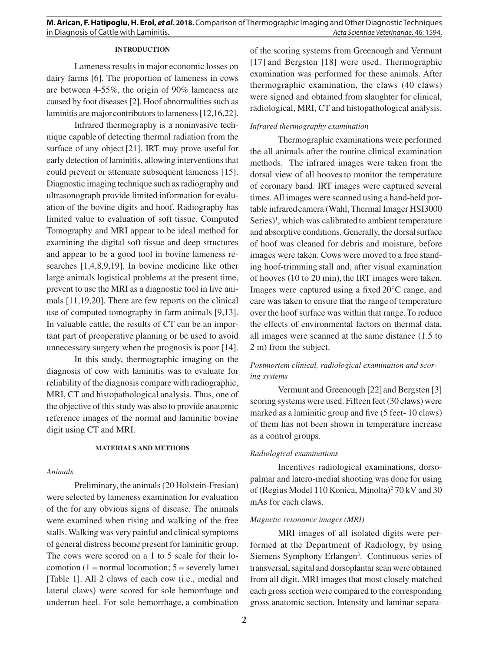## **INTRODUCTION**

Lameness results in major economic losses on dairy farms [6]. The proportion of lameness in cows are between 4-55%, the origin of 90% lameness are caused by foot diseases [2]. Hoof abnormalities such as laminitis are majorcontributors to lameness [12,16,22].

Infrared thermography is a noninvasive technique capable of detecting thermal radiation from the surface of any object [21]. IRT may prove useful for early detection of laminitis, allowing interventions that could prevent or attenuate subsequent lameness [15]. Diagnostic imaging technique such as radiography and ultrasonograph provide limited information for evaluation of the bovine digits and hoof. Radiography has limited value to evaluation of soft tissue. Computed Tomography and MRI appear to be ideal method for examining the digital soft tissue and deep structures and appear to be a good tool in bovine lameness researches [1,4,8,9,19]. In bovine medicine like other large animals logistical problems at the present time, prevent to use the MRI as a diagnostic tool in live animals [11,19,20]. There are few reports on the clinical use of computed tomography in farm animals [9,13]. In valuable cattle, the results of CT can be an important part of preoperative planning or be used to avoid unnecessary surgery when the prognosis is poor [14].

In this study, thermographic imaging on the diagnosis of cow with laminitis was to evaluate for reliability of the diagnosis compare with radiographic, MRI, CT and histopathological analysis. Thus, one of the objective of this study was also to provide anatomic reference images of the normal and laminitic bovine digit using CT and MRI.

#### **MATERIALS AND METHODS**

#### *Animals*

Preliminary, the animals (20 Holstein-Fresian) were selected by lameness examination for evaluation of the for any obvious signs of disease. The animals were examined when rising and walking of the free stalls. Walking was very painful and clinical symptoms of general distress become present for laminitic group. The cows were scored on a 1 to 5 scale for their locomotion (1 = normal locomotion;  $5$  = severely lame) [Table 1]. All 2 claws of each cow (i.e., medial and lateral claws) were scored for sole hemorrhage and underrun heel. For sole hemorrhage, a combination of the scoring systems from Greenough and Vermunt [17] and Bergsten [18] were used. Thermographic examination was performed for these animals. After thermographic examination, the claws (40 claws) were signed and obtained from slaughter for clinical, radiological, MRI, CT and histopathological analysis.

## *Infrared thermography examination*

Thermographic examinations were performed the all animals after the routine clinical examination methods. The infrared images were taken from the dorsal view of all hooves to monitor the temperature of coronary band. IRT images were captured several times. All images were scanned using a hand-held portable infraredcamera (Wahl, Thermal Imager HSI3000 Series)<sup>1</sup>, which was calibrated to ambient temperature and absorptive conditions. Generally, the dorsalsurface of hoof was cleaned for debris and moisture, before images were taken. Cows were moved to a free standing hoof-trimming stall and, after visual examination of hooves (10 to 20 min), the IRT images were taken. Images were captured using a fixed 20°C range, and care was taken to ensure that the range of temperature over the hoof surface was within that range.To reduce the effects of environmental factors on thermal data, all images were scanned at the same distance (1.5 to 2 m) from the subject.

# *Postmortem clinical, radiological examination and scoring systems*

Vermunt and Greenough [22] and Bergsten [3] scoring systems were used. Fifteen feet (30 claws) were marked as a laminitic group and five (5 feet- 10 claws) of them has not been shown in temperature increase as a control groups.

# *Radiological examinations*

Incentives radiological examinations, dorsopalmar and latero-medial shooting was done for using of (Regius Model 110 Konica, Minolta)<sup>2</sup> 70 kV and 30 mAs for each claws.

### *Magnetic resonance images (MRI)*

MRI images of all isolated digits were performed at the Department of Radiology, by using Siemens Symphony Erlangen<sup>3</sup>. Continuous series of transversal, sagital and dorsoplantar scan were obtained from all digit. MRI images that most closely matched each gross section were compared to the corresponding gross anatomic section. Intensity and laminar separa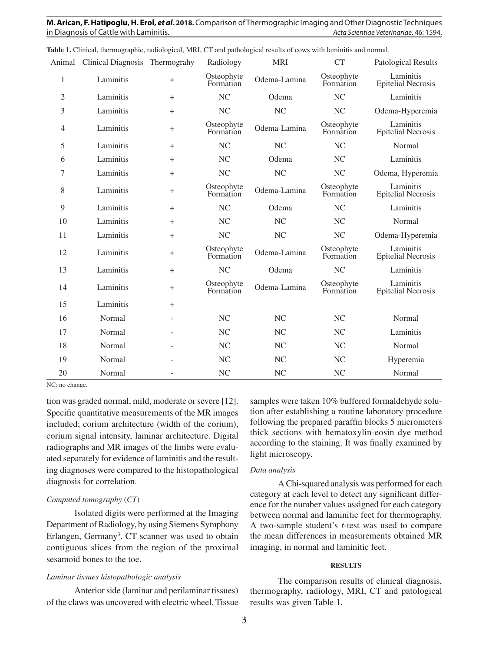**M. Arican, F. Hatipoglu, H. Erol,** *et al***. 2018.** Comparison of Thermographic Imaging and Other Diagnostic Techniques in Diagnosis of Cattle with Laminitis. *Acta Scientiae Veterinariae*. 46: 1594.

|                | Animal Clinical Diagnosis Thermograhy |           | Radiology               | <b>MRI</b>     | <b>CT</b>               | <b>Patological Results</b>             |
|----------------|---------------------------------------|-----------|-------------------------|----------------|-------------------------|----------------------------------------|
| $\mathbf{1}$   | Laminitis                             | $^{+}$    | Osteophyte<br>Formation | Odema-Lamina   | Osteophyte<br>Formation | Laminitis<br><b>Epitelial Necrosis</b> |
| $\mathfrak{2}$ | Laminitis                             | $^{+}$    | <b>NC</b>               | Odema          | NC                      | Laminitis                              |
| 3              | Laminitis                             | $+$       | <b>NC</b>               | N <sub>C</sub> | <b>NC</b>               | Odema-Hyperemia                        |
| $\overline{4}$ | Laminitis                             | $^{+}$    | Osteophyte<br>Formation | Odema-Lamina   | Osteophyte<br>Formation | Laminitis<br><b>Epitelial Necrosis</b> |
| 5              | Laminitis                             | $+$       | <b>NC</b>               | N <sub>C</sub> | NC                      | Normal                                 |
| 6              | Laminitis                             | $^{+}$    | <b>NC</b>               | Odema          | <b>NC</b>               | Laminitis                              |
| 7              | Laminitis                             | $^{+}$    | NC                      | NC             | <b>NC</b>               | Odema, Hyperemia                       |
| 8              | Laminitis                             | $^{+}$    | Osteophyte<br>Formation | Odema-Lamina   | Osteophyte<br>Formation | Laminitis<br><b>Epitelial Necrosis</b> |
| 9              | Laminitis                             | $\ddot{}$ | NC                      | Odema          | NC                      | Laminitis                              |
| 10             | Laminitis                             | $^{+}$    | <b>NC</b>               | <b>NC</b>      | <b>NC</b>               | Normal                                 |
| 11             | Laminitis                             | $+$       | NC                      | NC             | <b>NC</b>               | Odema-Hyperemia                        |
| 12             | Laminitis                             | $^{+}$    | Osteophyte<br>Formation | Odema-Lamina   | Osteophyte<br>Formation | Laminitis<br><b>Epitelial Necrosis</b> |
| 13             | Laminitis                             | $^{+}$    | NC                      | Odema          | N <sub>C</sub>          | Laminitis                              |
| 14             | Laminitis                             | $^{+}$    | Osteophyte<br>Formation | Odema-Lamina   | Osteophyte<br>Formation | Laminitis<br><b>Epitelial Necrosis</b> |
| 15             | Laminitis                             | $+$       |                         |                |                         |                                        |
| 16             | Normal                                | ÷         | <b>NC</b>               | <b>NC</b>      | <b>NC</b>               | Normal                                 |
| 17             | Normal                                |           | NC                      | NC             | NC                      | Laminitis                              |
| 18             | Normal                                |           | <b>NC</b>               | <b>NC</b>      | <b>NC</b>               | Normal                                 |
| 19             | Normal                                |           | <b>NC</b>               | N <sub>C</sub> | <b>NC</b>               | Hyperemia                              |
| 20             | Normal                                |           | <b>NC</b>               | NC             | <b>NC</b>               | Normal                                 |

**Table 1.** Clinical, thermographic, radiological, MRI, CT and pathological results of cows with laminitis and normal.

NC: no change.

tion was graded normal, mild, moderate or severe [12]. Specific quantitative measurements of the MR images included; corium architecture (width of the corium), corium signal intensity, laminar architecture. Digital radiographs and MR images of the limbs were evaluated separately for evidence of laminitis and the resulting diagnoses were compared to the histopathological diagnosis for correlation.

## *Computed tomography* (*CT*)

Isolated digits were performed at the Imaging Department of Radiology, by using Siemens Symphony Erlangen, Germany<sup>3</sup>. CT scanner was used to obtain contiguous slices from the region of the proximal sesamoid bones to the toe.

### *Laminar tissues histopathologic analysis*

Anterior side (laminar and perilaminar tissues) of the claws was uncovered with electric wheel. Tissue

samples were taken 10% buffered formaldehyde solution after establishing a routine laboratory procedure following the prepared paraffin blocks 5 micrometers thick sections with hematoxylin-eosin dye method according to the staining. It was finally examined by light microscopy.

#### *Data analysis*

A Chi-squared analysis was performed for each category at each level to detect any significant difference for the number values assigned for each category between normal and laminitic feet for thermography. A two-sample student's *t*-test was used to compare the mean differences in measurements obtained MR imaging, in normal and laminitic feet.

## **RESULTS**

The comparison results of clinical diagnosis, thermography, radiology, MRI, CT and patological results was given Table 1.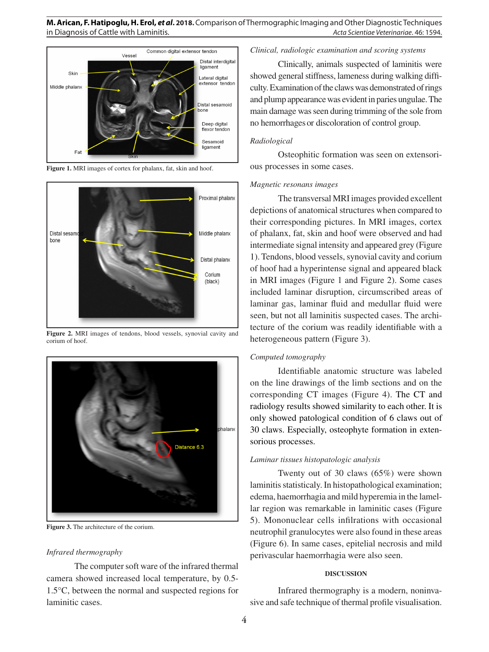

**Figure 1.** MRI images of cortex for phalanx, fat, skin and hoof.



**Figure 2.** MRI images of tendons, blood vessels, synovial cavity and corium of hoof.



**Figure 3.** The architecture of the corium.

# *Infrared thermography*

The computer soft ware of the infrared thermal camera showed increased local temperature, by 0.5- 1.5°C, between the normal and suspected regions for laminitic cases.

# *Clinical, radiologic examination and scoring systems*

Clinically, animals suspected of laminitis were showed general stiffness, lameness during walking difficulty. Examination of the claws was demonstrated of rings and plump appearance was evident in paries ungulae. The main damage was seen during trimming of the sole from no hemorrhages or discoloration of control group.

# *Radiological*

Osteophitic formation was seen on extensorious processes in some cases.

## *Magnetic resonans images*

The transversal MRI images provided excellent depictions of anatomical structures when compared to their corresponding pictures. In MRI images, cortex of phalanx, fat, skin and hoof were observed and had intermediate signal intensity and appeared grey (Figure 1). Tendons, blood vessels, synovial cavity and corium of hoof had a hyperintense signal and appeared black in MRI images (Figure 1 and Figure 2). Some cases included laminar disruption, circumscribed areas of laminar gas, laminar fluid and medullar fluid were seen, but not all laminitis suspected cases. The architecture of the corium was readily identifiable with a heterogeneous pattern (Figure 3).

# *Computed tomography*

Identifiable anatomic structure was labeled on the line drawings of the limb sections and on the corresponding CT images (Figure 4). The CT and radiology results showed similarity to each other. It is only showed patological condition of 6 claws out of 30 claws. Especially, osteophyte formation in extensorious processes.

# *Laminar tissues histopatologic analysis*

Twenty out of 30 claws (65%) were shown laminitis statisticaly. In histopathological examination; edema, haemorrhagia and mild hyperemia in the lamellar region was remarkable in laminitic cases (Figure 5). Mononuclear cells infilrations with occasional neutrophil granulocytes were also found in these areas (Figure 6). In same cases, epitelial necrosis and mild perivascular haemorrhagia were also seen.

## **DISCUSSION**

Infrared thermography is a modern, noninvasive and safe technique of thermal profile visualisation.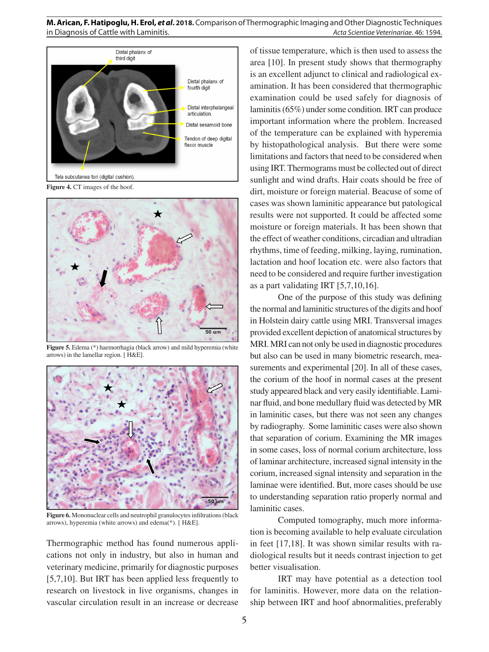

**Figure 4.** CT images of the hoof.



**Figure 5.** Edema (\*) haemorrhagia (black arrow) and mild hyperemia (white arrows) in the lamellar region. [ H&E].



**Figure 6.** Mononuclear cells and neutrophil granulocytes infiltrations (black arrows), hyperemia (white arrows) and edema(\*). [ H&E].

Thermographic method has found numerous applications not only in industry, but also in human and veterinary medicine, primarily for diagnostic purposes [5,7,10]. But IRT has been applied less frequently to research on livestock in live organisms, changes in vascular circulation result in an increase or decrease of tissue temperature, which is then used to assess the area [10]. In present study shows that thermography is an excellent adjunct to clinical and radiological examination. It has been considered that thermographic examination could be used safely for diagnosis of laminitis (65%) under some condition. IRT can produce important information where the problem. Increased of the temperature can be explained with hyperemia by histopathological analysis. But there were some limitations and factors that need to be considered when using IRT. Thermograms must be collected out of direct sunlight and wind drafts. Hair coats should be free of dirt, moisture or foreign material. Beacuse of some of cases was shown laminitic appearance but patological results were not supported. It could be affected some moisture or foreign materials. It has been shown that the effect of weather conditions, circadian and ultradian rhythms, time of feeding, milking, laying, rumination, lactation and hoof location etc. were also factors that need to be considered and require further investigation as a part validating IRT [5,7,10,16].

One of the purpose of this study was defining the normal and laminitic structures of the digits and hoof in Holstein dairy cattle using MRI. Transversal images provided excellent depiction of anatomical structures by MRI. MRI can not only be used in diagnostic procedures but also can be used in many biometric research, measurements and experimental [20]. In all of these cases, the corium of the hoof in normal cases at the present study appeared black and very easily identifiable. Laminar fluid, and bone medullary fluid was detected by MR in laminitic cases, but there was not seen any changes by radiography. Some laminitic cases were also shown that separation of corium. Examining the MR images in some cases, loss of normal corium architecture, loss of laminar architecture, increased signal intensity in the corium, increased signal intensity and separation in the laminae were identified. But, more cases should be use to understanding separation ratio properly normal and laminitic cases.

Computed tomography, much more information is becoming available to help evaluate circulation in feet [17,18]. It was shown similar results with radiological results but it needs contrast injection to get better visualisation.

IRT may have potential as a detection tool for laminitis. However, more data on the relationship between IRT and hoof abnormalities, preferably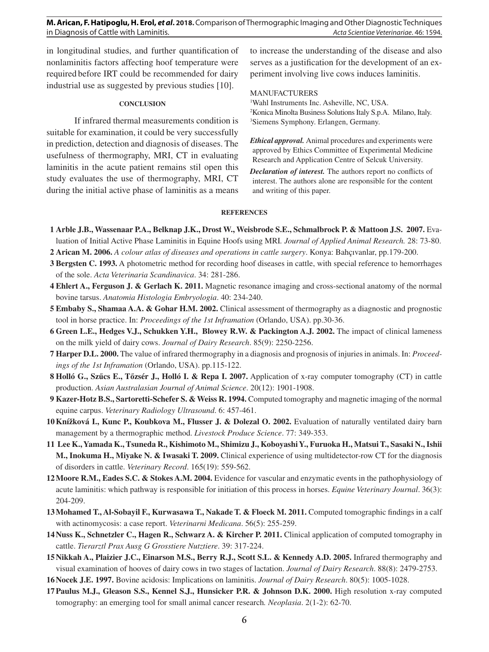in longitudinal studies, and further quantification of nonlaminitis factors affecting hoof temperature were required before IRT could be recommended for dairy industrial use as suggested by previous studies [10].

#### **CONCLUSION**

If infrared thermal measurements condition is suitable for examination, it could be very successfully in prediction, detection and diagnosis of diseases. The usefulness of thermography, MRI, CT in evaluating laminitis in the acute patient remains stil open this study evaluates the use of thermography, MRI, CT during the initial active phase of laminitis as a means

to increase the understanding of the disease and also serves as a justification for the development of an experiment involving live cows induces laminitis.

### MANUFACTURERS

1 Wahl Instruments Inc. Asheville, NC, USA. 2 Konica Minolta Business Solutions Italy S.p.A. Milano, Italy. 3 Siemens Symphony. Erlangen, Germany.

*Ethical approval.* Animal procedures and experiments were approved by Ethics Committee of Experimental Medicine Research and Application Centre of Selcuk University.

*Declaration of interest.* The authors report no conflicts of interest. The authors alone are responsible for the content and writing of this paper.

#### **REFERENCES**

**1 Arble J.B., Wassenaar P.A., Belknap J.K., Drost W., Weisbrode S.E., Schmalbrock P. & Mattoon J.S. 2007.** Evaluation of Initial Active Phase Laminitis in Equine Hoofs using MRI*. Journal of Applied Animal Research.* 28: 73-80.

**2 Arican M. 2006.** *A colour atlas of diseases and operations in cattle surgery*. Konya: Bahçıvanlar, pp.179-200.

- **3 Bergsten C. 1993.** A photometric method for recording hoof diseases in cattle, with special reference to hemorrhages of the sole. *Acta Veterinaria Scandinavica*. 34: 281-286.
- **4 Ehlert A., Ferguson J. & Gerlach K. 2011.** Magnetic resonance imaging and cross-sectional anatomy of the normal bovine tarsus. *Anatomia Histologia Embryologia*. 40: 234-240.
- **5 Embaby S., Shamaa A.A. & Gohar H.M. 2002.** Clinical assessment of thermography as a diagnostic and prognostic tool in horse practice. In: *Proceedings of the 1st Inframation* (Orlando, USA). pp.30-36.
- **6 Green L.E., Hedges V.J., Schukken Y.H., Blowey R.W. & Packington A.J. 2002.** The impact of clinical lameness on the milk yield of dairy cows. *Journal of Dairy Research*. 85(9): 2250-2256.
- **7 Harper D.L. 2000.** The value of infrared thermography in a diagnosis and prognosis of injuries in animals. In: *Proceedings of the 1st Inframation* (Orlando, USA). pp.115-122.
- **8 Holló G., Szűcs E., Tőzsér J., Holló I. & Repa I. 2007.** Application of x-ray computer tomography (CT) in cattle production. *Asian Australasian Journal of Animal Science*. 20(12): 1901-1908.
- **9 Kazer-Hotz B.S., Sartoretti-Schefer S. & Weiss R. 1994.** Computed tomography and magnetic imaging of the normal equine carpus. *Veterinary Radiology Ultrasound*. 6: 457-461.
- **10Knížková I., Kunc P., Koubkova M., Flusser J. & Dolezal O. 2002.** Evaluation of naturally ventilated dairy barn management by a thermographic method. *Livestock Produce Science*. 77: 349-353.
- **11 Lee K., Yamada K., Tsuneda R., Kishimoto M., Shimizu J., Koboyashi Y., Furuoka H., Matsui T., Sasaki N., Ishii M., Inokuma H., Miyake N. & Iwasaki T. 2009.** Clinical experience of using multidetector-row CT for the diagnosis of disorders in cattle. *Veterinary Record*. 165(19): 559-562.
- **12Moore R.M., Eades S.C. & Stokes A.M. 2004.** Evidence for vascular and enzymatic events in the pathophysiology of acute laminitis: which pathway is responsible for initiation of this process in horses. *Equine Veterinary Journal*. 36(3): 204-209.
- **13Mohamed T., Al-Sobayil F., Kurwasawa T., Nakade T. & Floeck M. 2011.** Computed tomographic findings in a calf with actinomycosis: a case report. *Veterinarni Medicana*. 56(5): 255-259.
- **14Nuss K., Schnetzler C., Hagen R., Schwarz A. & Kircher P. 2011.** Clinical application of computed tomography in cattle. *Tierarztl Prax Ausg G Grosstiere Nutztiere*. 39: 317-224.
- **15Nikkah A., Plaizier J.C., Einarson M.S., Berry R.J., Scott S.L. & Kennedy A.D. 2005.** Infrared thermography and visual examination of hooves of dairy cows in two stages of lactation. *Journal of Dairy Research*. 88(8): 2479-2753.
- **16Nocek J.E. 1997.** Bovine acidosis: Implications on laminitis. *Journal of Dairy Research*. 80(5): 1005-1028.
- **17Paulus M.J., Gleason S.S., Kennel S.J., Hunsicker P.R. & Johnson D.K. 2000.** High resolution x-ray computed tomography: an emerging tool for small animal cancer research*. Neoplasia*. 2(1-2): 62-70.